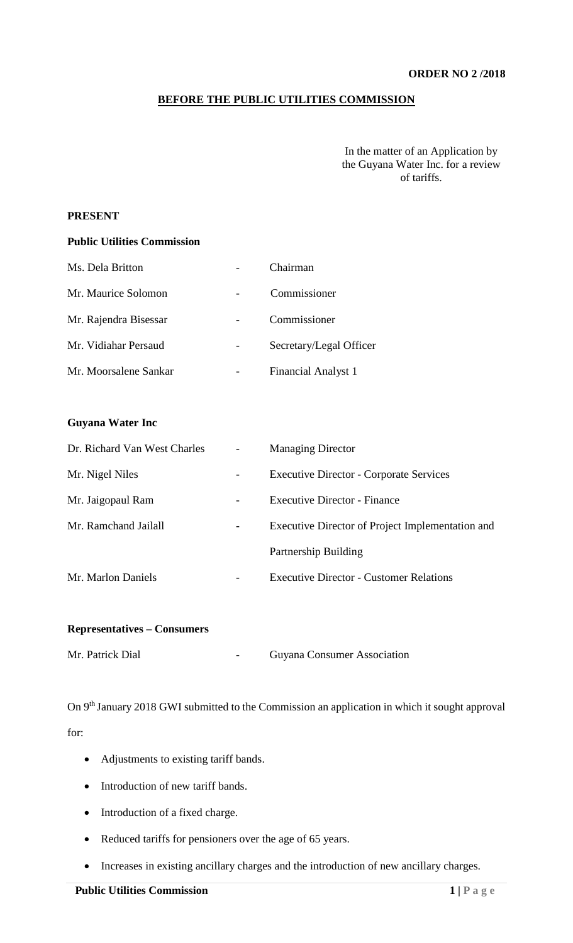### **ORDER NO 2 /2018**

## **BEFORE THE PUBLIC UTILITIES COMMISSION**

In the matter of an Application by the Guyana Water Inc. for a review of tariffs.

### **PRESENT**

#### **Public Utilities Commission**

| Ms. Dela Britton      | Chairman                   |
|-----------------------|----------------------------|
| Mr. Maurice Solomon   | Commissioner               |
| Mr. Rajendra Bisessar | Commissioner               |
| Mr. Vidiahar Persaud  | Secretary/Legal Officer    |
| Mr. Moorsalene Sankar | <b>Financial Analyst 1</b> |

### **Guyana Water Inc**

| Dr. Richard Van West Charles |                          | <b>Managing Director</b>                         |
|------------------------------|--------------------------|--------------------------------------------------|
| Mr. Nigel Niles              | $\overline{\phantom{a}}$ | <b>Executive Director - Corporate Services</b>   |
| Mr. Jaigopaul Ram            | -                        | Executive Director - Finance                     |
| Mr. Ramchand Jailall         |                          | Executive Director of Project Implementation and |
|                              |                          | Partnership Building                             |
| Mr. Marlon Daniels           |                          | <b>Executive Director - Customer Relations</b>   |

## **Representatives – Consumers**

| Mr. Patrick Dial<br><b>Guyana Consumer Association</b> |  |
|--------------------------------------------------------|--|
|--------------------------------------------------------|--|

On 9th January 2018 GWI submitted to the Commission an application in which it sought approval for:

- Adjustments to existing tariff bands.
- Introduction of new tariff bands.
- Introduction of a fixed charge.
- Reduced tariffs for pensioners over the age of 65 years.
- Increases in existing ancillary charges and the introduction of new ancillary charges.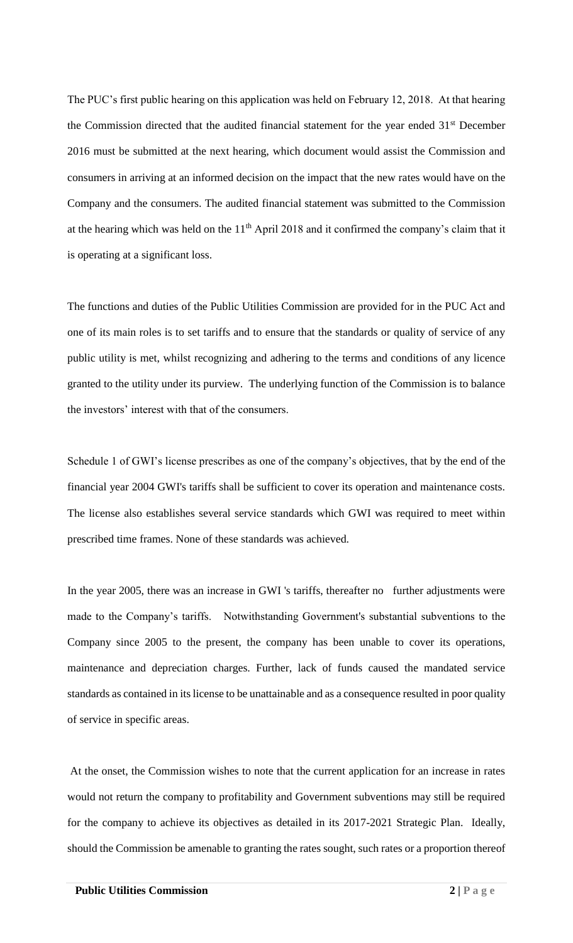The PUC's first public hearing on this application was held on February 12, 2018. At that hearing the Commission directed that the audited financial statement for the year ended 31<sup>st</sup> December 2016 must be submitted at the next hearing, which document would assist the Commission and consumers in arriving at an informed decision on the impact that the new rates would have on the Company and the consumers. The audited financial statement was submitted to the Commission at the hearing which was held on the 11<sup>th</sup> April 2018 and it confirmed the company's claim that it is operating at a significant loss.

The functions and duties of the Public Utilities Commission are provided for in the PUC Act and one of its main roles is to set tariffs and to ensure that the standards or quality of service of any public utility is met, whilst recognizing and adhering to the terms and conditions of any licence granted to the utility under its purview. The underlying function of the Commission is to balance the investors' interest with that of the consumers.

Schedule 1 of GWI's license prescribes as one of the company's objectives, that by the end of the financial year 2004 GWI's tariffs shall be sufficient to cover its operation and maintenance costs. The license also establishes several service standards which GWI was required to meet within prescribed time frames. None of these standards was achieved.

In the year 2005, there was an increase in GWI 's tariffs, thereafter no further adjustments were made to the Company's tariffs. Notwithstanding Government's substantial subventions to the Company since 2005 to the present, the company has been unable to cover its operations, maintenance and depreciation charges. Further, lack of funds caused the mandated service standards as contained in its license to be unattainable and as a consequence resulted in poor quality of service in specific areas.

At the onset, the Commission wishes to note that the current application for an increase in rates would not return the company to profitability and Government subventions may still be required for the company to achieve its objectives as detailed in its 2017-2021 Strategic Plan. Ideally, should the Commission be amenable to granting the rates sought, such rates or a proportion thereof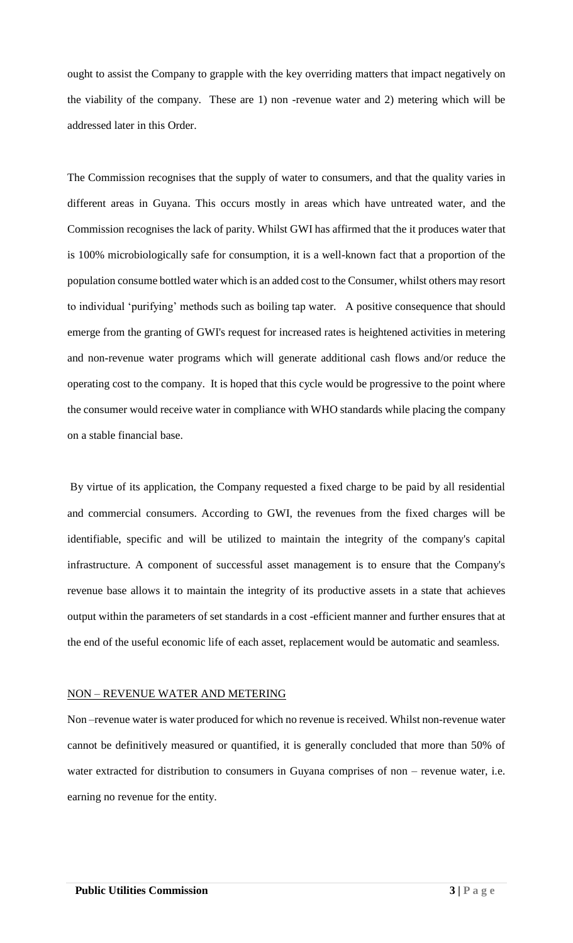ought to assist the Company to grapple with the key overriding matters that impact negatively on the viability of the company. These are 1) non -revenue water and 2) metering which will be addressed later in this Order.

The Commission recognises that the supply of water to consumers, and that the quality varies in different areas in Guyana. This occurs mostly in areas which have untreated water, and the Commission recognises the lack of parity. Whilst GWI has affirmed that the it produces water that is 100% microbiologically safe for consumption, it is a well-known fact that a proportion of the population consume bottled water which is an added cost to the Consumer, whilst others may resort to individual 'purifying' methods such as boiling tap water. A positive consequence that should emerge from the granting of GWI's request for increased rates is heightened activities in metering and non-revenue water programs which will generate additional cash flows and/or reduce the operating cost to the company. It is hoped that this cycle would be progressive to the point where the consumer would receive water in compliance with WHO standards while placing the company on a stable financial base.

By virtue of its application, the Company requested a fixed charge to be paid by all residential and commercial consumers. According to GWI, the revenues from the fixed charges will be identifiable, specific and will be utilized to maintain the integrity of the company's capital infrastructure. A component of successful asset management is to ensure that the Company's revenue base allows it to maintain the integrity of its productive assets in a state that achieves output within the parameters of set standards in a cost -efficient manner and further ensures that at the end of the useful economic life of each asset, replacement would be automatic and seamless.

#### NON – REVENUE WATER AND METERING

Non –revenue water is water produced for which no revenue is received. Whilst non-revenue water cannot be definitively measured or quantified, it is generally concluded that more than 50% of water extracted for distribution to consumers in Guyana comprises of non – revenue water, i.e. earning no revenue for the entity.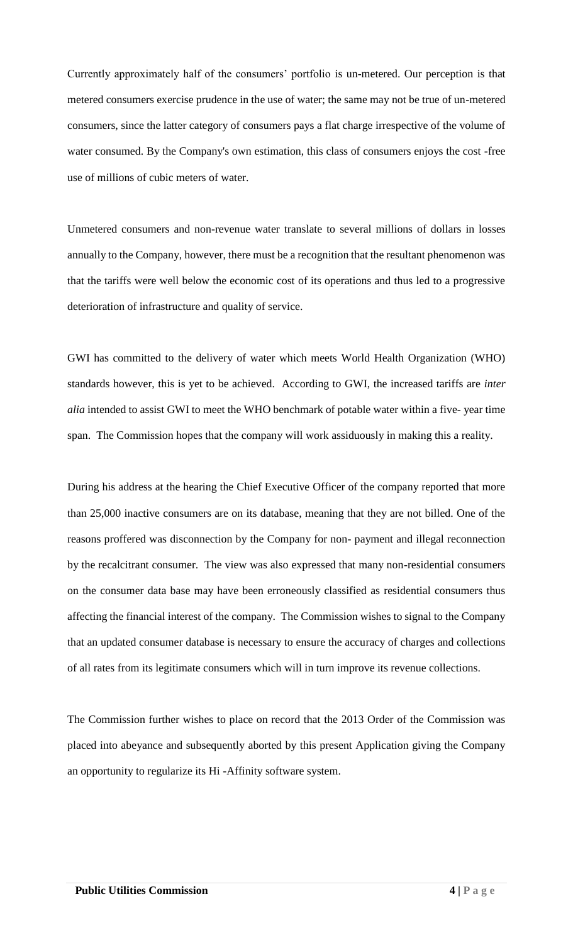Currently approximately half of the consumers' portfolio is un-metered. Our perception is that metered consumers exercise prudence in the use of water; the same may not be true of un-metered consumers, since the latter category of consumers pays a flat charge irrespective of the volume of water consumed. By the Company's own estimation, this class of consumers enjoys the cost -free use of millions of cubic meters of water.

Unmetered consumers and non-revenue water translate to several millions of dollars in losses annually to the Company, however, there must be a recognition that the resultant phenomenon was that the tariffs were well below the economic cost of its operations and thus led to a progressive deterioration of infrastructure and quality of service.

GWI has committed to the delivery of water which meets World Health Organization (WHO) standards however, this is yet to be achieved. According to GWI, the increased tariffs are *inter alia* intended to assist GWI to meet the WHO benchmark of potable water within a five- year time span. The Commission hopes that the company will work assiduously in making this a reality.

During his address at the hearing the Chief Executive Officer of the company reported that more than 25,000 inactive consumers are on its database, meaning that they are not billed. One of the reasons proffered was disconnection by the Company for non- payment and illegal reconnection by the recalcitrant consumer. The view was also expressed that many non-residential consumers on the consumer data base may have been erroneously classified as residential consumers thus affecting the financial interest of the company. The Commission wishes to signal to the Company that an updated consumer database is necessary to ensure the accuracy of charges and collections of all rates from its legitimate consumers which will in turn improve its revenue collections.

The Commission further wishes to place on record that the 2013 Order of the Commission was placed into abeyance and subsequently aborted by this present Application giving the Company an opportunity to regularize its Hi -Affinity software system.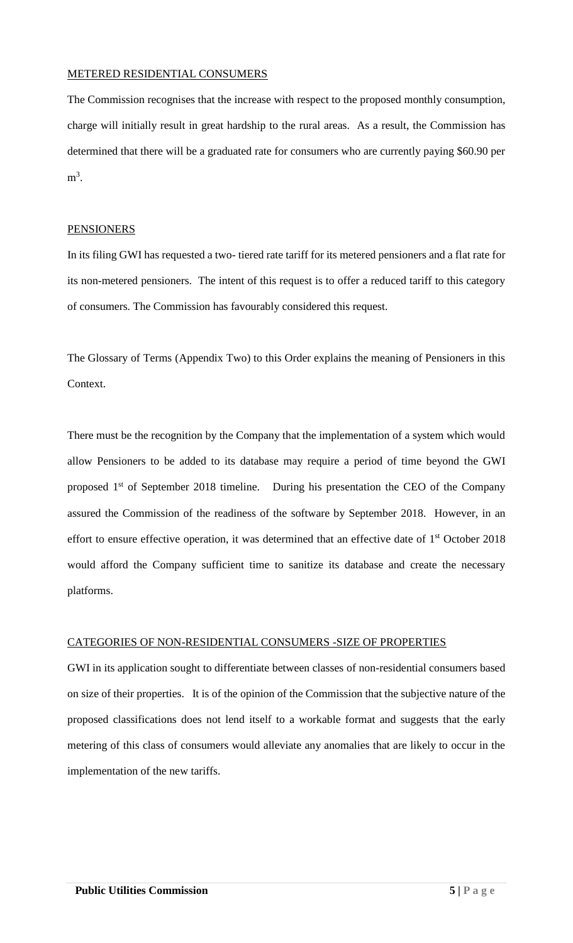### METERED RESIDENTIAL CONSUMERS

The Commission recognises that the increase with respect to the proposed monthly consumption, charge will initially result in great hardship to the rural areas. As a result, the Commission has determined that there will be a graduated rate for consumers who are currently paying \$60.90 per  $m^3$ .

### PENSIONERS

In its filing GWI has requested a two- tiered rate tariff for its metered pensioners and a flat rate for its non-metered pensioners. The intent of this request is to offer a reduced tariff to this category of consumers. The Commission has favourably considered this request.

The Glossary of Terms (Appendix Two) to this Order explains the meaning of Pensioners in this Context.

There must be the recognition by the Company that the implementation of a system which would allow Pensioners to be added to its database may require a period of time beyond the GWI proposed 1<sup>st</sup> of September 2018 timeline. During his presentation the CEO of the Company assured the Commission of the readiness of the software by September 2018. However, in an effort to ensure effective operation, it was determined that an effective date of 1<sup>st</sup> October 2018 would afford the Company sufficient time to sanitize its database and create the necessary platforms.

## CATEGORIES OF NON-RESIDENTIAL CONSUMERS -SIZE OF PROPERTIES

GWI in its application sought to differentiate between classes of non-residential consumers based on size of their properties. It is of the opinion of the Commission that the subjective nature of the proposed classifications does not lend itself to a workable format and suggests that the early metering of this class of consumers would alleviate any anomalies that are likely to occur in the implementation of the new tariffs.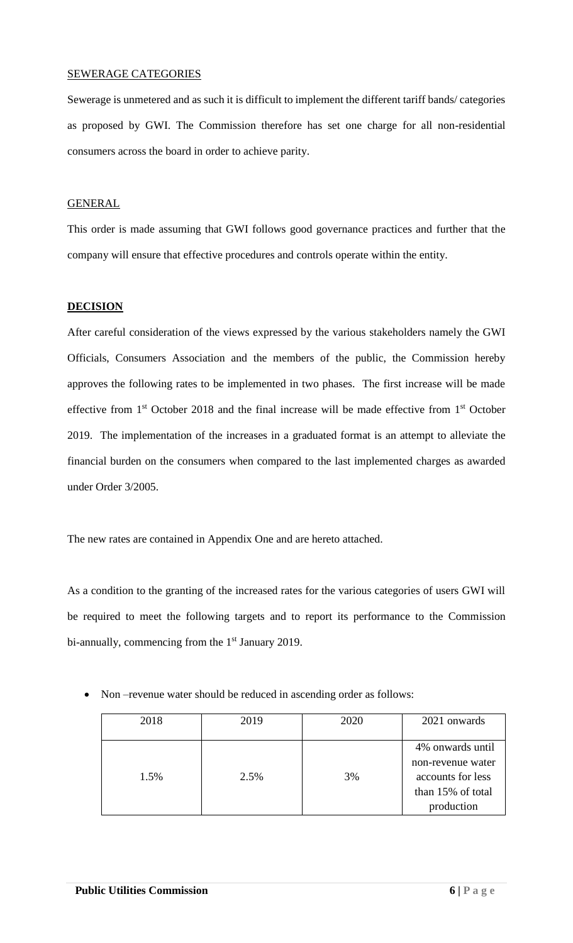### SEWERAGE CATEGORIES

Sewerage is unmetered and as such it is difficult to implement the different tariff bands/ categories as proposed by GWI. The Commission therefore has set one charge for all non-residential consumers across the board in order to achieve parity.

### **GENERAL**

This order is made assuming that GWI follows good governance practices and further that the company will ensure that effective procedures and controls operate within the entity.

## **DECISION**

After careful consideration of the views expressed by the various stakeholders namely the GWI Officials, Consumers Association and the members of the public, the Commission hereby approves the following rates to be implemented in two phases. The first increase will be made effective from 1<sup>st</sup> October 2018 and the final increase will be made effective from 1<sup>st</sup> October 2019. The implementation of the increases in a graduated format is an attempt to alleviate the financial burden on the consumers when compared to the last implemented charges as awarded under Order 3/2005.

The new rates are contained in Appendix One and are hereto attached.

As a condition to the granting of the increased rates for the various categories of users GWI will be required to meet the following targets and to report its performance to the Commission bi-annually, commencing from the 1<sup>st</sup> January 2019.

| 2018 | 2019 | 2020 | 2021 onwards                                                                                  |
|------|------|------|-----------------------------------------------------------------------------------------------|
| 1.5% | 2.5% | 3%   | 4% onwards until<br>non-revenue water<br>accounts for less<br>than 15% of total<br>production |

• Non-revenue water should be reduced in ascending order as follows: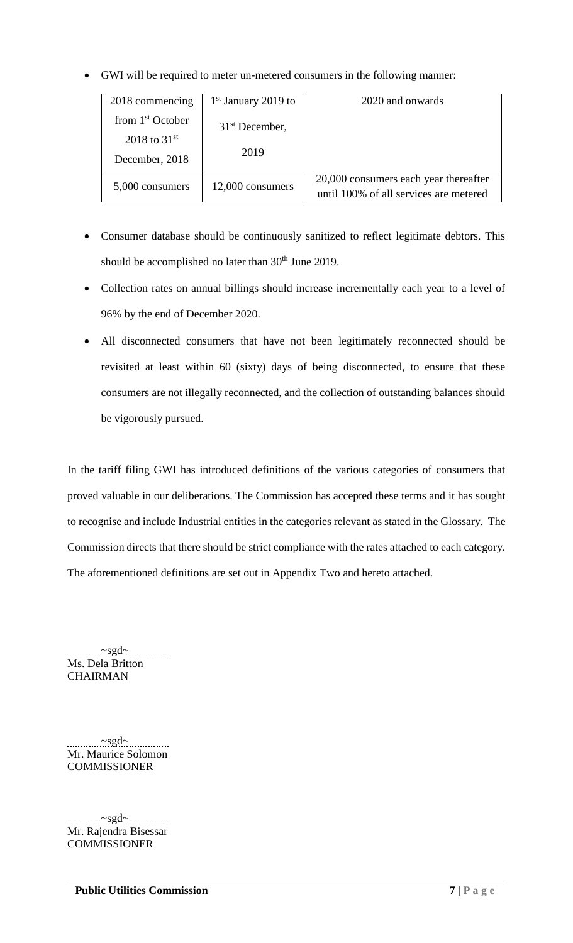• GWI will be required to meter un-metered consumers in the following manner:

| 2018 commencing    | $1st$ January 2019 to | 2020 and onwards                                                                |
|--------------------|-----------------------|---------------------------------------------------------------------------------|
| from $1st$ October | $31st$ December,      |                                                                                 |
| 2018 to $31^{st}$  |                       |                                                                                 |
| December, 2018     | 2019                  |                                                                                 |
| 5,000 consumers    | 12,000 consumers      | 20,000 consumers each year thereafter<br>until 100% of all services are metered |

- Consumer database should be continuously sanitized to reflect legitimate debtors. This should be accomplished no later than  $30<sup>th</sup>$  June 2019.
- Collection rates on annual billings should increase incrementally each year to a level of 96% by the end of December 2020.
- All disconnected consumers that have not been legitimately reconnected should be revisited at least within 60 (sixty) days of being disconnected, to ensure that these consumers are not illegally reconnected, and the collection of outstanding balances should be vigorously pursued.

In the tariff filing GWI has introduced definitions of the various categories of consumers that proved valuable in our deliberations. The Commission has accepted these terms and it has sought to recognise and include Industrial entities in the categories relevant as stated in the Glossary. The Commission directs that there should be strict compliance with the rates attached to each category. The aforementioned definitions are set out in Appendix Two and hereto attached.

 $\sim$ sgd~ Ms. Dela Britton **CHAIRMAN** 

~sgd~ Mr. Maurice Solomon **COMMISSIONER** 

~sgd~ Mr. Rajendra Bisessar **COMMISSIONER**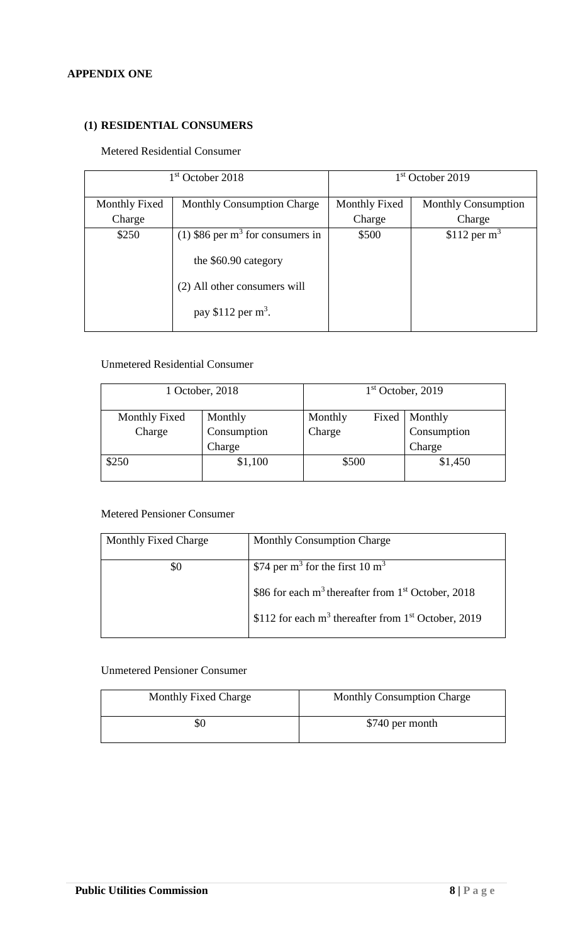## **APPENDIX ONE**

## **(1) RESIDENTIAL CONSUMERS**

### Metered Residential Consumer

| 1 <sup>st</sup> October 2018 |                                    | $1st$ October 2019 |                            |
|------------------------------|------------------------------------|--------------------|----------------------------|
| <b>Monthly Fixed</b>         | <b>Monthly Consumption Charge</b>  | Monthly Fixed      | <b>Monthly Consumption</b> |
| Charge                       |                                    | Charge             | Charge                     |
| \$250                        | (1) \$86 per $m3$ for consumers in | \$500              | \$112 per $m3$             |
|                              | the \$60.90 category               |                    |                            |
|                              | (2) All other consumers will       |                    |                            |
|                              | pay \$112 per $m3$ .               |                    |                            |

## Unmetered Residential Consumer

| 1 October, 2018 |         | $1st$ October, 2019 |  |  |
|-----------------|---------|---------------------|--|--|
| Monthly         | Monthly | Monthly             |  |  |
| Consumption     | Charge  | Consumption         |  |  |
| Charge          |         | Charge              |  |  |
| \$1,100         | \$500   | \$1,450             |  |  |
|                 |         | Fixed               |  |  |

# Metered Pensioner Consumer

| Monthly Fixed Charge | <b>Monthly Consumption Charge</b>                                 |
|----------------------|-------------------------------------------------------------------|
| \$0                  | \$74 per m <sup>3</sup> for the first 10 m <sup>3</sup>           |
|                      | \$86 for each $m^3$ thereafter from 1 <sup>st</sup> October, 2018 |
|                      | \$112 for each $m3$ thereafter from 1 <sup>st</sup> October, 2019 |

### Unmetered Pensioner Consumer

| Monthly Fixed Charge | <b>Monthly Consumption Charge</b> |
|----------------------|-----------------------------------|
| YQ                   | \$740 per month                   |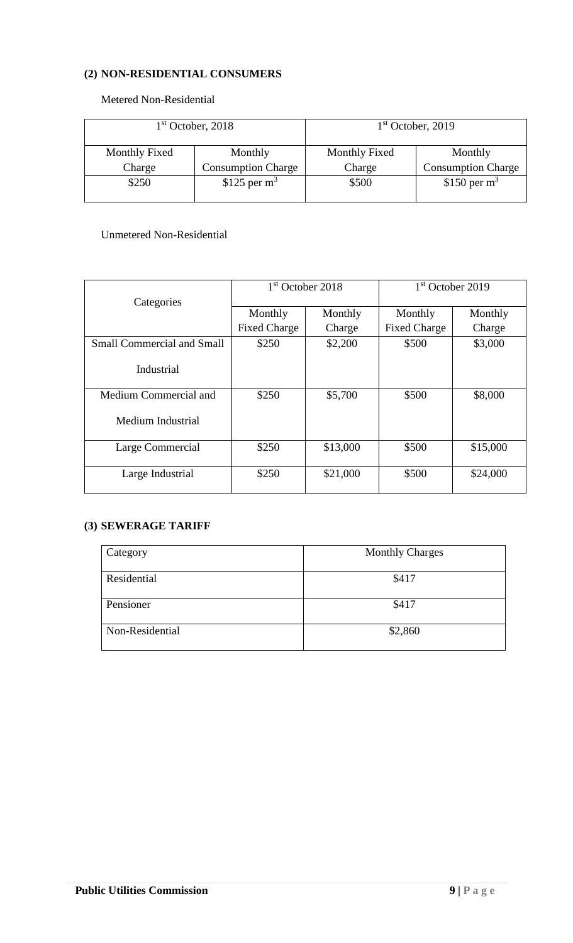# **(2) NON-RESIDENTIAL CONSUMERS**

Metered Non-Residential

| $1st$ October, 2018  |                           | 1 <sup>st</sup> October, 2019 |                           |
|----------------------|---------------------------|-------------------------------|---------------------------|
| <b>Monthly Fixed</b> | Monthly                   | Monthly Fixed                 | Monthly                   |
| Charge               | <b>Consumption Charge</b> | Charge                        | <b>Consumption Charge</b> |
| \$250                | $$125$ per m <sup>3</sup> | \$500                         | \$150 per $m3$            |

# Unmetered Non-Residential

|                                   | 1 <sup>st</sup> October 2018 |          | 1 <sup>st</sup> October 2019 |          |
|-----------------------------------|------------------------------|----------|------------------------------|----------|
| Categories                        |                              |          |                              |          |
|                                   | Monthly                      | Monthly  | Monthly                      | Monthly  |
|                                   | <b>Fixed Charge</b>          | Charge   | <b>Fixed Charge</b>          | Charge   |
| <b>Small Commercial and Small</b> | \$250                        | \$2,200  | \$500                        | \$3,000  |
| Industrial                        |                              |          |                              |          |
| Medium Commercial and             | \$250                        | \$5,700  | \$500                        | \$8,000  |
| Medium Industrial                 |                              |          |                              |          |
| Large Commercial                  | \$250                        | \$13,000 | \$500                        | \$15,000 |
| Large Industrial                  | \$250                        | \$21,000 | \$500                        | \$24,000 |

# **(3) SEWERAGE TARIFF**

| Category        | <b>Monthly Charges</b> |
|-----------------|------------------------|
| Residential     | \$417                  |
| Pensioner       | \$417                  |
| Non-Residential | \$2,860                |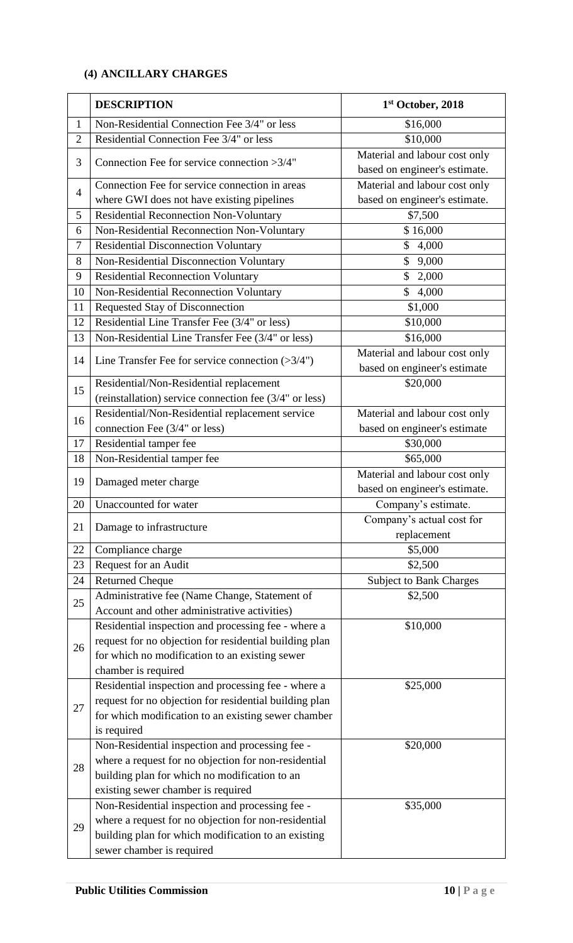# **(4) ANCILLARY CHARGES**

|                | <b>DESCRIPTION</b>                                        | 1st October, 2018              |
|----------------|-----------------------------------------------------------|--------------------------------|
| 1              | Non-Residential Connection Fee 3/4" or less               | \$16,000                       |
| $\overline{2}$ | Residential Connection Fee 3/4" or less                   | \$10,000                       |
| 3              | Connection Fee for service connection > 3/4"              | Material and labour cost only  |
|                |                                                           | based on engineer's estimate.  |
| $\overline{4}$ | Connection Fee for service connection in areas            | Material and labour cost only  |
|                | where GWI does not have existing pipelines                | based on engineer's estimate.  |
| 5              | <b>Residential Reconnection Non-Voluntary</b>             | \$7,500                        |
| 6              | Non-Residential Reconnection Non-Voluntary                | \$16,000                       |
| 7              | <b>Residential Disconnection Voluntary</b>                | $\mathbb{S}$<br>4,000          |
| 8              | Non-Residential Disconnection Voluntary                   | 9,000<br>\$                    |
| 9              | <b>Residential Reconnection Voluntary</b>                 | $\mathbb{S}$<br>2,000          |
| 10             | Non-Residential Reconnection Voluntary                    | $\mathbb{S}$<br>4,000          |
| 11             | Requested Stay of Disconnection                           | \$1,000                        |
| 12             | Residential Line Transfer Fee (3/4" or less)              | \$10,000                       |
| 13             | Non-Residential Line Transfer Fee (3/4" or less)          | \$16,000                       |
| 14             | Line Transfer Fee for service connection $(>\frac{3}{4})$ | Material and labour cost only  |
|                |                                                           | based on engineer's estimate   |
| 15             | Residential/Non-Residential replacement                   | \$20,000                       |
|                | (reinstallation) service connection fee (3/4" or less)    |                                |
|                | Residential/Non-Residential replacement service           | Material and labour cost only  |
| 16             | connection Fee (3/4" or less)                             | based on engineer's estimate   |
| 17             | Residential tamper fee                                    | \$30,000                       |
| 18             | Non-Residential tamper fee                                | \$65,000                       |
| 19             | Damaged meter charge                                      | Material and labour cost only  |
|                |                                                           | based on engineer's estimate.  |
| 20             | Unaccounted for water                                     | Company's estimate.            |
|                |                                                           | Company's actual cost for      |
| 21             | Damage to infrastructure                                  | replacement                    |
| 22             | Compliance charge                                         | \$5,000                        |
| 23             | Request for an Audit                                      | \$2,500                        |
| 24             | <b>Returned Cheque</b>                                    | <b>Subject to Bank Charges</b> |
| 25             | Administrative fee (Name Change, Statement of             | \$2,500                        |
|                | Account and other administrative activities)              |                                |
| 26             | Residential inspection and processing fee - where a       | \$10,000                       |
|                | request for no objection for residential building plan    |                                |
|                | for which no modification to an existing sewer            |                                |
|                | chamber is required                                       |                                |
| 27             | Residential inspection and processing fee - where a       | \$25,000                       |
|                | request for no objection for residential building plan    |                                |
|                | for which modification to an existing sewer chamber       |                                |
|                | is required                                               |                                |
| 28             | Non-Residential inspection and processing fee -           | \$20,000                       |
|                | where a request for no objection for non-residential      |                                |
|                | building plan for which no modification to an             |                                |
|                | existing sewer chamber is required                        |                                |
| 29             | Non-Residential inspection and processing fee -           | \$35,000                       |
|                | where a request for no objection for non-residential      |                                |
|                | building plan for which modification to an existing       |                                |
|                | sewer chamber is required                                 |                                |